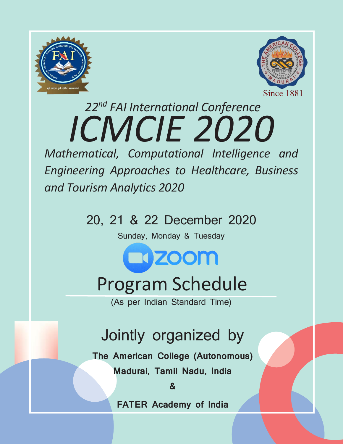



# *22nd FAI International Conference ICMCIE 2020*

*\pproaches to Healthd*<br>/nalytics 2020<br><sup>1</sup>1 & 22 December *Mathematical, Computational Intelligence and Engineering Approaches to Healthcare, Business and Tourism Analytics 2020*

20, 21 & 22 December 2020

Sunday, Monday & Tuesday

**NEX 200M** 

## Program Schedule

(As per Indian Standard Time)

## Jointly organized by

**The American College (Autonomous) Madurai, Tamil Nadu, India**

**&**

**FATER Academy of India**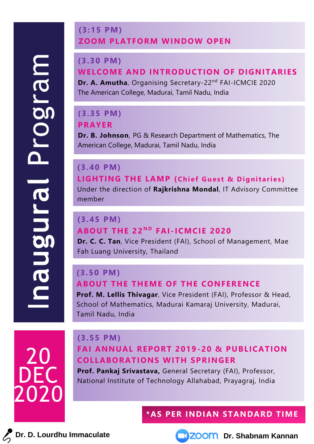### **(3:15 PM) ZOOM PLATFORM WINDOW OPEN**

#### **(3.30 PM)**

## **WELCOME AND INTRODUCTION OF DIGNITARIES**

**Dr. A. Amutha**, Organising Secretary-22nd FAI-ICMCIE 2020 The American College, Madurai, Tamil Nadu, India

#### **(3.35 PM) PRAYER**

**Dr. B. Johnson**, PG & Research Department of Mathematics, The American College, Madurai, Tamil Nadu, India

## **(3.40 PM)**

**LIGHTING THE LAMP** (Chief Guest & Dignitaries) Under the direction of **Rajkrishna Mondal**, IT Advisory Committee member

## **(3.45 PM) ABOUT THE 22<sup>ND</sup> FAI-ICMCIE 2020**

**Dr. C. C. Tan**, Vice President (FAI), School of Management, Mae Fah Luang University, Thailand

#### **(3.50 PM) ABOUT THE THEME OF THE CONFERENCE**

**Prof. M. Lellis Thivagar**, Vice President (FAI), Professor & Head, School of Mathematics, Madurai Kamaraj University, Madurai, Tamil Nadu, India



## **(3.55 PM)**

## **FAI ANNUAL REPORT 2019-20 & PUBLICATION COLLABORATIONS WITH SPRINGER**

**Prof. Pankaj Srivastava,** General Secretary (FAI), Professor, National Institute of Technology Allahabad, Prayagraj, India

## **\*AS PER INDIAN STANDARD TIME**

**Dr. D. Lourdhu Immaculate Dr. D. Lourdhu Immaculate Dr. Shabnam Kannan** 

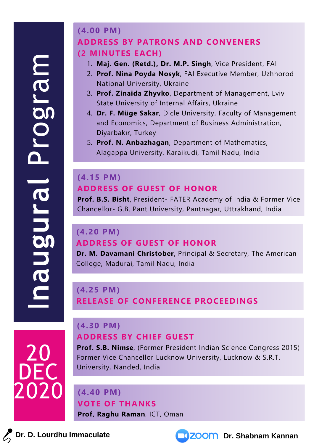20

DEC

2020

### **(4.00 PM) ADDRESS BY PATRONS AND CONVENERS (2 MINUTES EACH)**

- 1. **Maj. Gen. (Retd.), Dr. M.P. Singh**, Vice President, FAI
- 2. **Prof. Nina Poyda Nosyk**, FAI Executive Member, Uzhhorod National University, Ukraine
- 3. **Prof. Zinaida Zhyvko**, Department of Management, Lviv State University of Internal Affairs, Ukraine
- 4. **Dr. F. Müge Sakar**, Dicle University, Faculty of Management and Economics, Department of Business Administration, Diyarbakır, Turkey
- 5. **Prof. N. Anbazhagan**, Department of Mathematics, Alagappa University, Karaikudi, Tamil Nadu, India

### **(4.15 PM) ADDRESS OF GUEST OF HONOR**

**Prof. B.S. Bisht**, President- FATER Academy of India & Former Vice Chancellor- G.B. Pant University, Pantnagar, Uttrakhand, India

### **(4.20 PM) ADDRESS OF GUEST OF HONOR**

**Dr. M. Davamani Christober**, Principal & Secretary, The American College, Madurai, Tamil Nadu, India

## **(4.25 PM) RELEASE OF CONFERENCE PROCEEDINGS**

#### **(4.30 PM) ADDRESS BY CHIEF GUEST**

**Prof. S.B. Nimse**, (Former President Indian Science Congress 2015) Former Vice Chancellor Lucknow University, Lucknow & S.R.T. University, Nanded, India

#### **(4.40 PM) VOTE OF THANKS**

**Prof, Raghu Raman**, ICT, Oman

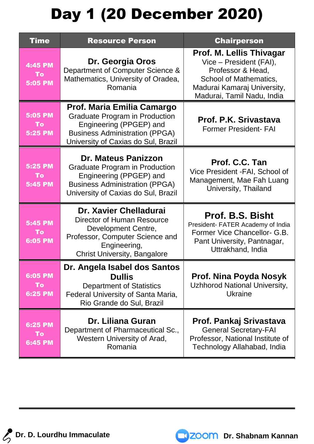## Day 1 (20 December 2020)

| <b>Time</b>                            | <b>Resource Person</b>                                                                                                                                                         | <b>Chairperson</b>                                                                                                                                              |
|----------------------------------------|--------------------------------------------------------------------------------------------------------------------------------------------------------------------------------|-----------------------------------------------------------------------------------------------------------------------------------------------------------------|
| 4:45 PM<br>To<br><b>5:05 PM</b>        | Dr. Georgia Oros<br>Department of Computer Science &<br>Mathematics, University of Oradea,<br>Romania                                                                          | Prof. M. Lellis Thivagar<br>Vice - President (FAI),<br>Professor & Head,<br>School of Mathematics,<br>Madurai Kamaraj University,<br>Madurai, Tamil Nadu, India |
| <b>5:05 PM</b><br><b>To</b><br>5:25 PM | Prof. Maria Emilia Camargo<br><b>Graduate Program in Production</b><br>Engineering (PPGEP) and<br><b>Business Administration (PPGA)</b><br>University of Caxias do Sul, Brazil | Prof. P.K. Srivastava<br><b>Former President- FAI</b>                                                                                                           |
| 5:25 PM<br>To<br>5:45 PM               | <b>Dr. Mateus Panizzon</b><br><b>Graduate Program in Production</b><br>Engineering (PPGEP) and<br><b>Business Administration (PPGA)</b><br>University of Caxias do Sul, Brazil | Prof. C.C. Tan<br>Vice President - FAI, School of<br>Management, Mae Fah Luang<br>University, Thailand                                                          |
| 5:45 PM<br>To<br><b>6:05 PM</b>        | Dr. Xavier Chelladurai<br>Director of Human Resource<br>Development Centre,<br>Professor, Computer Science and<br>Engineering,<br><b>Christ University, Bangalore</b>          | <b>Prof. B.S. Bisht</b><br>President- FATER Academy of India<br>Former Vice Chancellor- G.B.<br>Pant University, Pantnagar,<br>Uttrakhand, India                |
| 6:05 PM<br>To<br>6:25 PM               | Dr. Angela Isabel dos Santos<br><b>Dullis</b><br><b>Department of Statistics</b><br>Federal University of Santa Maria,<br>Rio Grande do Sul, Brazil                            | Prof. Nina Poyda Nosyk<br><b>Uzhhorod National University,</b><br>Ukraine                                                                                       |
| 6:25 PM<br>To<br><b>6:45 PM</b>        | Dr. Liliana Guran<br>Department of Pharmaceutical Sc.,<br>Western University of Arad,<br>Romania                                                                               | Prof. Pankaj Srivastava<br><b>General Secretary-FAI</b><br>Professor, National Institute of<br>Technology Allahabad, India                                      |

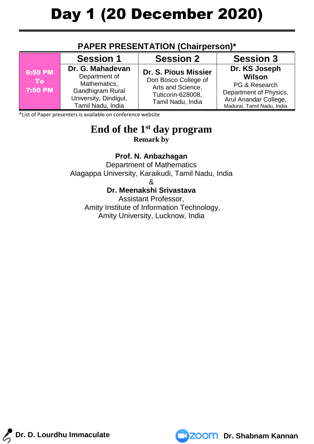### **PAPER PRESENTATION (Chairperson)\***

|                                        | <b>Session 1</b>                                                                                                    | <b>Session 2</b>                                                                                                   | <b>Session 3</b>                                                                                                          |
|----------------------------------------|---------------------------------------------------------------------------------------------------------------------|--------------------------------------------------------------------------------------------------------------------|---------------------------------------------------------------------------------------------------------------------------|
| 6:50 PM<br><b>To</b><br><b>7:50 PM</b> | Dr. G. Mahadevan<br>Department of<br>Mathematics,<br>Gandhigram Rural<br>University, Dindigul,<br>Tamil Nadu, India | <b>Dr. S. Pious Missier</b><br>Don Bosco College of<br>Arts and Science,<br>Tuticorin-628008,<br>Tamil Nadu, India | Dr. KS Joseph<br>Wilson<br>PG & Research<br>Department of Physics,<br>Arul Anandar College,<br>Madurai, Tamil Nadu, India |

\*List of Paper presenters is available on conference website

#### **End of the 1st day program Remark by**

## **Prof. N. Anbazhagan**

Department of Mathematics Alagappa University, Karaikudi, Tamil Nadu, India

&

#### **Dr. Meenakshi Srivastava**

Assistant Professor, Amity Institute of Information Technology, Amity University, Lucknow, India



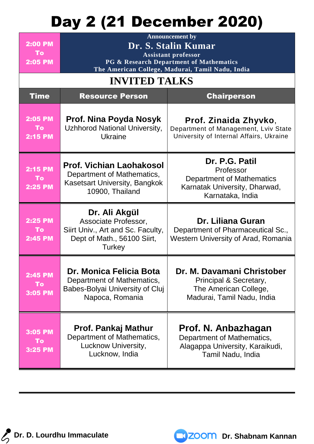## Day 2 (21 December 2020)

| <b>2:00 PM</b><br>To:<br><b>2:05 PM</b>       | <b>Announcement by</b><br>Dr. S. Stalin Kumar<br><b>Assistant professor</b><br>PG & Research Department of Mathematics<br>The American College, Madurai, Tamil Nadu, India |                                                                                                                      |
|-----------------------------------------------|----------------------------------------------------------------------------------------------------------------------------------------------------------------------------|----------------------------------------------------------------------------------------------------------------------|
|                                               | <b>INVITED TALKS</b>                                                                                                                                                       |                                                                                                                      |
| <b>Time</b>                                   | <b>Resource Person</b>                                                                                                                                                     | <b>Chairperson</b>                                                                                                   |
| <b>2:05 PM</b><br><b>To</b><br><b>2:15 PM</b> | Prof. Nina Poyda Nosyk<br><b>Uzhhorod National University,</b><br><b>Ukraine</b>                                                                                           | Prof. Zinaida Zhyvko,<br>Department of Management, Lviv State<br>University of Internal Affairs, Ukraine             |
| <b>2:15 PM</b><br><b>To</b><br><b>2:25 PM</b> | <b>Prof. Vichian Laohakosol</b><br>Department of Mathematics,<br>Kasetsart University, Bangkok<br>10900, Thailand                                                          | Dr. P.G. Patil<br>Professor<br><b>Department of Mathematics</b><br>Karnatak University, Dharwad,<br>Karnataka, India |
| <b>2:25 PM</b><br>To:<br>2:45 PM              | Dr. Ali Akgül<br>Associate Professor,<br>Siirt Univ., Art and Sc. Faculty,<br>Dept of Math., 56100 Siirt,<br><b>Turkey</b>                                                 | Dr. Liliana Guran<br>Department of Pharmaceutical Sc.,<br>Western University of Arad, Romania                        |
| 2:45 PM<br>To<br>3:05 PM                      | Dr. Monica Felicia Bota<br>Department of Mathematics,<br>Babes-Bolyai University of Cluj<br>Napoca, Romania                                                                | Dr. M. Davamani Christober<br>Principal & Secretary,<br>The American College,<br>Madurai, Tamil Nadu, India          |
| 3:05 PM<br>To<br>3:25 PM                      | Prof. Pankaj Mathur<br>Department of Mathematics,<br>Lucknow University,<br>Lucknow, India                                                                                 | Prof. N. Anbazhagan<br>Department of Mathematics,<br>Alagappa University, Karaikudi,<br>Tamil Nadu, India            |

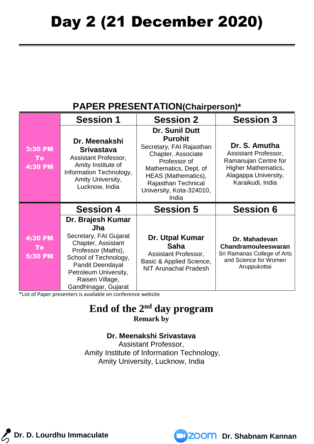## **PAPER PRESENTATION(Chairperson)\***

|                                        | <b>Session 1</b>                                                                                                                                                                                                              | <b>Session 2</b>                                                                                                                                                                                                      | <b>Session 3</b>                                                                                                                        |
|----------------------------------------|-------------------------------------------------------------------------------------------------------------------------------------------------------------------------------------------------------------------------------|-----------------------------------------------------------------------------------------------------------------------------------------------------------------------------------------------------------------------|-----------------------------------------------------------------------------------------------------------------------------------------|
| <b>3:30 PM</b><br>To<br><b>4:30 PM</b> | Dr. Meenakshi<br><b>Srivastava</b><br>Assistant Professor,<br>Amity Institute of<br>Information Technology,<br>Amity University,<br>Lucknow, India                                                                            | <b>Dr. Sunil Dutt</b><br><b>Purohit</b><br>Secretary, FAI Rajasthan<br>Chapter, Associate<br>Professor of<br>Mathematics, Dept. of<br>HEAS (Mathematics),<br>Rajasthan Technical<br>University, Kota-324010,<br>India | Dr. S. Amutha<br>Assistant Professor,<br>Ramanujan Centre for<br><b>Higher Mathematics,</b><br>Alagappa University,<br>Karaikudi, India |
|                                        | <b>Session 4</b>                                                                                                                                                                                                              | <b>Session 5</b>                                                                                                                                                                                                      | <b>Session 6</b>                                                                                                                        |
| <b>4:30 PM</b><br>To<br><b>5:30 PM</b> | Dr. Brajesh Kumar<br><b>Jha</b><br>Secretary, FAI Gujarat<br>Chapter, Assistant<br>Professor (Maths),<br>School of Technology,<br><b>Pandit Deendayal</b><br>Petroleum University,<br>Raisen Village,<br>Gandhinagar, Gujarat | Dr. Utpal Kumar<br><b>Saha</b><br>Assistant Professor,<br>Basic & Applied Science,<br><b>NIT Arunachal Pradesh</b>                                                                                                    | Dr. Mahadevan<br>Chandramouleeswaran<br>Sri Ramanas College of Arts<br>and Science for Women<br>Aruppukottai                            |

\*List of Paper presenters is available on conference website

### **End of the 2 nd day program Remark by**

#### **Dr. Meenakshi Srivastava**

Assistant Professor, Amity Institute of Information Technology, Amity University, Lucknow, India

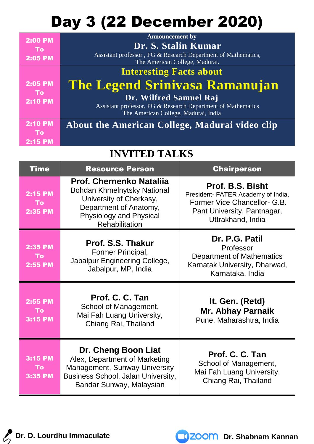## Day 3 (22 December 2020)

| <b>2:00 PM</b><br>To:                         | <b>Announcement by</b><br>Dr. S. Stalin Kumar                                                                                                                    |                    |  |
|-----------------------------------------------|------------------------------------------------------------------------------------------------------------------------------------------------------------------|--------------------|--|
| <b>2:05 PM</b>                                | Assistant professor, PG & Research Department of Mathematics,<br>The American College, Madurai.                                                                  |                    |  |
|                                               | <b>Interesting Facts about</b>                                                                                                                                   |                    |  |
| <b>2:05 PM</b><br><b>To</b><br><b>2:10 PM</b> | The Legend Srinivasa Ramanujan<br>Dr. Wilfred Samuel Raj<br>Assistant professor, PG & Research Department of Mathematics<br>The American College, Madurai, India |                    |  |
| <b>2:10 PM</b>                                | About the American College, Madurai video clip                                                                                                                   |                    |  |
| 'To<br><b>2:15 PM</b>                         |                                                                                                                                                                  |                    |  |
| <b>INVITED TALKS</b>                          |                                                                                                                                                                  |                    |  |
| Time                                          | <b>Resource Person</b>                                                                                                                                           | <b>Chairperson</b> |  |

| <b>2:15 PM</b><br>To<br>2:35 PM        | Prof. Chernenko Natalija<br><b>Bohdan Khmelnytsky National</b><br>University of Cherkasy,<br>Department of Anatomy,<br><b>Physiology and Physical</b><br>Rehabilitation | Prof. B.S. Bisht<br>President- FATER Academy of India,<br>Former Vice Chancellor- G.B.<br>Pant University, Pantnagar,<br>Uttrakhand, India |
|----------------------------------------|-------------------------------------------------------------------------------------------------------------------------------------------------------------------------|--------------------------------------------------------------------------------------------------------------------------------------------|
| 2:35 PM<br><b>To</b><br><b>2:55 PM</b> | <b>Prof. S.S. Thakur</b><br>Former Principal,<br>Jabalpur Engineering College,<br>Jabalpur, MP, India                                                                   | Dr. P.G. Patil<br>Professor<br><b>Department of Mathematics</b><br>Karnatak University, Dharwad,<br>Karnataka, India                       |
| 2:55 PM<br>To<br>3:15 PM               | Prof. C. C. Tan<br>School of Management,<br>Mai Fah Luang University,<br>Chiang Rai, Thailand                                                                           | It. Gen. (Retd)<br><b>Mr. Abhay Parnaik</b><br>Pune, Maharashtra, India                                                                    |
| <b>3:15 PM</b><br><b>To</b><br>3:35 PM | Dr. Cheng Boon Liat<br>Alex, Department of Marketing<br>Management, Sunway University<br><b>Business School, Jalan University,</b><br>Bandar Sunway, Malaysian          | Prof. C. C. Tan<br>School of Management,<br>Mai Fah Luang University,<br>Chiang Rai, Thailand                                              |

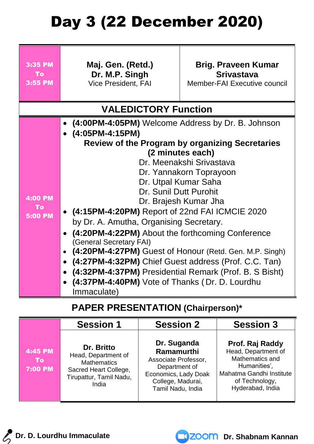## Day 3 (22 December 2020)

| 3:35 PM<br><b>To</b><br>3:55 PM               | Maj. Gen. (Retd.)<br>Dr. M.P. Singh<br><b>Vice President, FAI</b>                                                                                                                                                                                                                                                                                                                                                                                                                                                                                  | <b>Brig. Praveen Kumar</b><br><b>Srivastava</b><br>Member-FAI Executive council                                                                                                    |
|-----------------------------------------------|----------------------------------------------------------------------------------------------------------------------------------------------------------------------------------------------------------------------------------------------------------------------------------------------------------------------------------------------------------------------------------------------------------------------------------------------------------------------------------------------------------------------------------------------------|------------------------------------------------------------------------------------------------------------------------------------------------------------------------------------|
| <b>VALEDICTORY Function</b>                   |                                                                                                                                                                                                                                                                                                                                                                                                                                                                                                                                                    |                                                                                                                                                                                    |
| <b>4:00 PM</b><br><b>To</b><br><b>5:00 PM</b> | (4:00PM-4:05PM) Welcome Address by Dr. B. Johnson<br>(4:05PM-4:15PM)<br>Dr. Sunil Dutt Purohit<br>(4:15PM-4:20PM) Report of 22nd FAI ICMCIE 2020<br>by Dr. A. Amutha, Organising Secretary.<br>(4:20PM-4:22PM) About the forthcoming Conference<br>(General Secretary FAI)<br>(4:20PM-4:27PM) Guest of Honour (Retd. Gen. M.P. Singh)<br>$\bullet$<br>(4:27PM-4:32PM) Chief Guest address (Prof. C.C. Tan)<br>(4:32PM-4:37PM) Presidential Remark (Prof. B. S Bisht)<br>$\bullet$<br>(4:37PM-4:40PM) Vote of Thanks (Dr. D. Lourdhu<br>Immaculate) | <b>Review of the Program by organizing Secretaries</b><br>(2 minutes each)<br>Dr. Meenakshi Srivastava<br>Dr. Yannakorn Toprayoon<br>Dr. Utpal Kumar Saha<br>Dr. Brajesh Kumar Jha |

## **PAPER PRESENTATION (Chairperson)\***

|                                 | <b>Session 1</b>                                                                                                     | <b>Session 2</b>                                                                                                                            | <b>Session 3</b>                                                                                                                            |
|---------------------------------|----------------------------------------------------------------------------------------------------------------------|---------------------------------------------------------------------------------------------------------------------------------------------|---------------------------------------------------------------------------------------------------------------------------------------------|
| 4:45 PM<br>To<br><b>7:00 PM</b> | Dr. Britto<br>Head, Department of<br><b>Mathematics</b><br>Sacred Heart College,<br>Tirupattur, Tamil Nadu,<br>India | Dr. Suganda<br><b>Ramamurthi</b><br>Associate Professor,<br>Department of<br>Economics, Lady Doak<br>College, Madurai,<br>Tamil Nadu, India | Prof. Raj Raddy<br>Head, Department of<br>Mathematics and<br>Humanities',<br>Mahatma Gandhi Institute<br>of Technology,<br>Hyderabad, India |